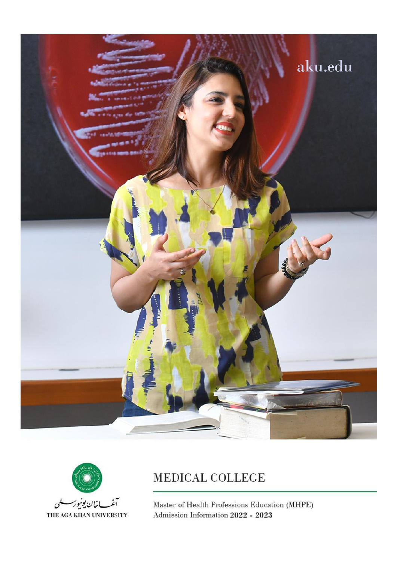



# MEDICAL COLLEGE

Master of Health Professions Education (MHPE) Admission Information 2022 - 2023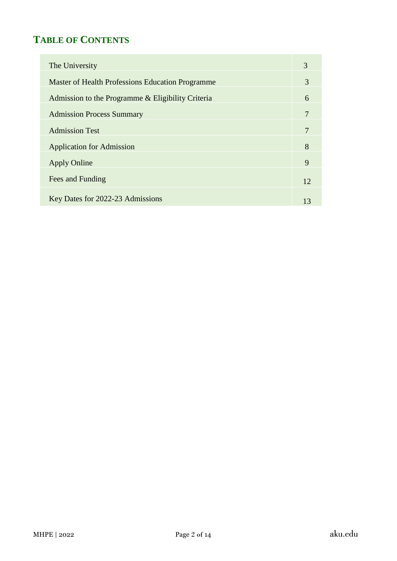# **TABLE OF CONTENTS**

| The University                                    | 3  |
|---------------------------------------------------|----|
| Master of Health Professions Education Programme  | 3  |
| Admission to the Programme & Eligibility Criteria | 6  |
| <b>Admission Process Summary</b>                  |    |
| <b>Admission Test</b>                             |    |
| <b>Application for Admission</b>                  | 8  |
| <b>Apply Online</b>                               | 9  |
| Fees and Funding                                  | 12 |
| Key Dates for 2022-23 Admissions                  | 13 |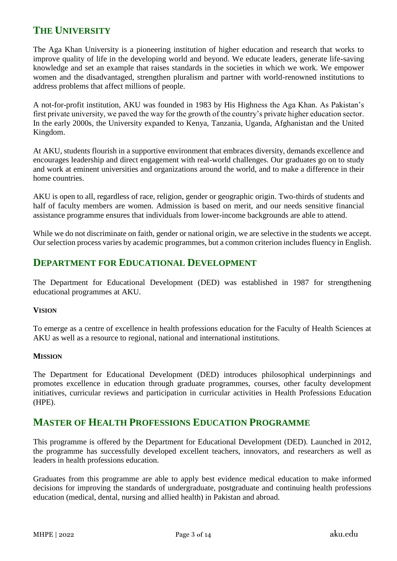# **THE UNIVERSITY**

The Aga Khan University is a pioneering institution of higher education and research that works to improve quality of life in the developing world and beyond. We educate leaders, generate life-saving knowledge and set an example that raises standards in the societies in which we work. We empower women and the disadvantaged, strengthen pluralism and partner with world-renowned institutions to address problems that affect millions of people.

A not-for-profit institution, AKU was founded in 1983 by His Highness the Aga Khan. As Pakistan's first private university, we paved the way for the growth of the country's private higher education sector. In the early 2000s, the University expanded to Kenya, Tanzania, Uganda, Afghanistan and the United Kingdom.

At AKU, students flourish in a supportive environment that embraces diversity, demands excellence and encourages leadership and direct engagement with real-world challenges. Our graduates go on to study and work at eminent universities and organizations around the world, and to make a difference in their home countries.

AKU is open to all, regardless of race, religion, gender or geographic origin. Two-thirds of students and half of faculty members are women. Admission is based on merit, and our needs sensitive financial assistance programme ensures that individuals from lower-income backgrounds are able to attend.

While we do not discriminate on faith, gender or national origin, we are selective in the students we accept. Our selection process varies by academic programmes, but a common criterion includes fluency in English.

### **DEPARTMENT FOR EDUCATIONAL DEVELOPMENT**

The Department for Educational Development (DED) was established in 1987 for strengthening educational programmes at AKU.

#### **VISION**

To emerge as a centre of excellence in health professions education for the Faculty of Health Sciences at AKU as well as a resource to regional, national and international institutions.

#### **MISSION**

The Department for Educational Development (DED) introduces philosophical underpinnings and promotes excellence in education through graduate programmes, courses, other faculty development initiatives, curricular reviews and participation in curricular activities in Health Professions Education (HPE).

### **MASTER OF HEALTH PROFESSIONS EDUCATION PROGRAMME**

This programme is offered by the Department for Educational Development (DED). Launched in 2012, the programme has successfully developed excellent teachers, innovators, and researchers as well as leaders in health professions education.

Graduates from this programme are able to apply best evidence medical education to make informed decisions for improving the standards of undergraduate, postgraduate and continuing health professions education (medical, dental, nursing and allied health) in Pakistan and abroad.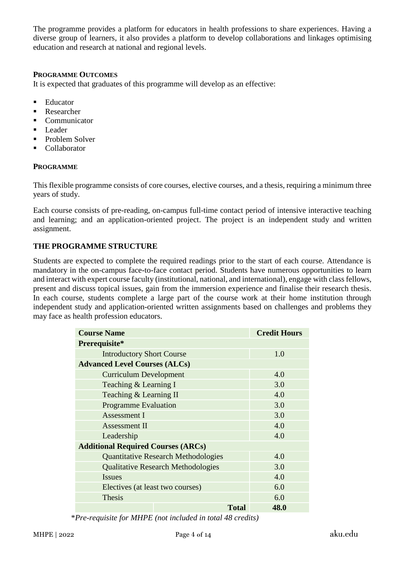The programme provides a platform for educators in health professions to share experiences. Having a diverse group of learners, it also provides a platform to develop collaborations and linkages optimising education and research at national and regional levels.

### **PROGRAMME OUTCOMES**

It is expected that graduates of this programme will develop as an effective:

- Educator
- Researcher
- Communicator
- Leader
- Problem Solver
- **Collaborator**

#### **PROGRAMME**

This flexible programme consists of core courses, elective courses, and a thesis, requiring a minimum three years of study.

Each course consists of pre-reading, on-campus full-time contact period of intensive interactive teaching and learning; and an application-oriented project. The project is an independent study and written assignment.

### **THE PROGRAMME STRUCTURE**

Students are expected to complete the required readings prior to the start of each course. Attendance is mandatory in the on-campus face-to-face contact period. Students have numerous opportunities to learn and interact with expert course faculty (institutional, national, and international), engage with class fellows, present and discuss topical issues, gain from the immersion experience and finalise their research thesis. In each course, students complete a large part of the course work at their home institution through independent study and application-oriented written assignments based on challenges and problems they may face as health profession educators.

| <b>Course Name</b>                        |                                            |              | <b>Credit Hours</b> |
|-------------------------------------------|--------------------------------------------|--------------|---------------------|
| Prerequisite*                             |                                            |              |                     |
| <b>Introductory Short Course</b>          |                                            |              | 1.0                 |
| <b>Advanced Level Courses (ALCs)</b>      |                                            |              |                     |
| <b>Curriculum Development</b>             |                                            |              | 4.0                 |
| Teaching & Learning I                     |                                            |              | 3.0                 |
| Teaching & Learning II                    |                                            |              | 4.0                 |
| <b>Programme Evaluation</b>               |                                            |              | 3.0                 |
| Assessment I                              |                                            |              | 3.0                 |
| Assessment II                             |                                            |              | 4.0                 |
| Leadership                                |                                            |              | 4.0                 |
| <b>Additional Required Courses (ARCs)</b> |                                            |              |                     |
|                                           | <b>Quantitative Research Methodologies</b> |              | 4.0                 |
|                                           | <b>Qualitative Research Methodologies</b>  |              | 3.0                 |
| <b>Issues</b>                             |                                            |              | 4.0                 |
| Electives (at least two courses)          |                                            |              | 6.0                 |
| <b>Thesis</b>                             |                                            |              | 6.0                 |
|                                           |                                            | <b>Total</b> | 48.0                |

\**Pre-requisite for MHPE (not included in total 48 credits)*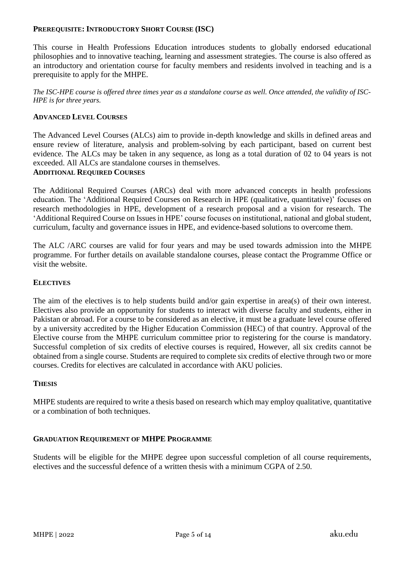#### **PREREQUISITE: INTRODUCTORY SHORT COURSE (ISC)**

This course in Health Professions Education introduces students to globally endorsed educational philosophies and to innovative teaching, learning and assessment strategies. The course is also offered as an introductory and orientation course for faculty members and residents involved in teaching and is a prerequisite to apply for the MHPE.

*The ISC-HPE course is offered three times year as a standalone course as well. Once attended, the validity of ISC-HPE is for three years.* 

#### **ADVANCED LEVEL COURSES**

The Advanced Level Courses (ALCs) aim to provide in-depth knowledge and skills in defined areas and ensure review of literature, analysis and problem-solving by each participant, based on current best evidence. The ALCs may be taken in any sequence, as long as a total duration of 02 to 04 years is not exceeded. All ALCs are standalone courses in themselves.

### **ADDITIONAL REQUIRED COURSES**

The Additional Required Courses (ARCs) deal with more advanced concepts in health professions education. The 'Additional Required Courses on Research in HPE (qualitative, quantitative)' focuses on research methodologies in HPE, development of a research proposal and a vision for research. The 'Additional Required Course on Issues in HPE' course focuses on institutional, national and global student, curriculum, faculty and governance issues in HPE, and evidence-based solutions to overcome them.

The ALC /ARC courses are valid for four years and may be used towards admission into the MHPE programme. For further details on available standalone courses, please contact the Programme Office or visit the website.

#### **ELECTIVES**

The aim of the electives is to help students build and/or gain expertise in area(s) of their own interest. Electives also provide an opportunity for students to interact with diverse faculty and students, either in Pakistan or abroad. For a course to be considered as an elective, it must be a graduate level course offered by a university accredited by the Higher Education Commission (HEC) of that country. Approval of the Elective course from the MHPE curriculum committee prior to registering for the course is mandatory. Successful completion of six credits of elective courses is required, However, all six credits cannot be obtained from a single course. Students are required to complete six credits of elective through two or more courses. Credits for electives are calculated in accordance with AKU policies.

#### **THESIS**

MHPE students are required to write a thesis based on research which may employ qualitative, quantitative or a combination of both techniques.

#### **GRADUATION REQUIREMENT OF MHPE PROGRAMME**

Students will be eligible for the MHPE degree upon successful completion of all course requirements, electives and the successful defence of a written thesis with a minimum CGPA of 2.50.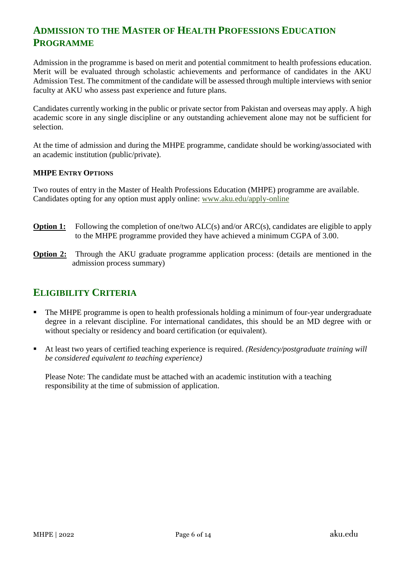# **ADMISSION TO THE MASTER OF HEALTH PROFESSIONS EDUCATION PROGRAMME**

Admission in the programme is based on merit and potential commitment to health professions education. Merit will be evaluated through scholastic achievements and performance of candidates in the AKU Admission Test. The commitment of the candidate will be assessed through multiple interviews with senior faculty at AKU who assess past experience and future plans.

Candidates currently working in the public or private sector from Pakistan and overseas may apply. A high academic score in any single discipline or any outstanding achievement alone may not be sufficient for selection.

At the time of admission and during the MHPE programme, candidate should be working/associated with an academic institution (public/private).

### **MHPE ENTRY OPTIONS**

Two routes of entry in the Master of Health Professions Education (MHPE) programme are available. Candidates opting for any option must apply online: [www.aku.edu/apply-online](http://www.aku.edu/apply-online)

- **Option 1:** Following the completion of one/two ALC(s) and/or ARC(s), candidates are eligible to apply to the MHPE programme provided they have achieved a minimum CGPA of 3.00.
- **Option 2:** Through the AKU graduate programme application process: (details are mentioned in the admission process summary)

# **ELIGIBILITY CRITERIA**

- The MHPE programme is open to health professionals holding a minimum of four-year undergraduate degree in a relevant discipline. For international candidates, this should be an MD degree with or without specialty or residency and board certification (or equivalent).
- At least two years of certified teaching experience is required. *(Residency/postgraduate training will be considered equivalent to teaching experience)*

Please Note: The candidate must be attached with an academic institution with a teaching responsibility at the time of submission of application.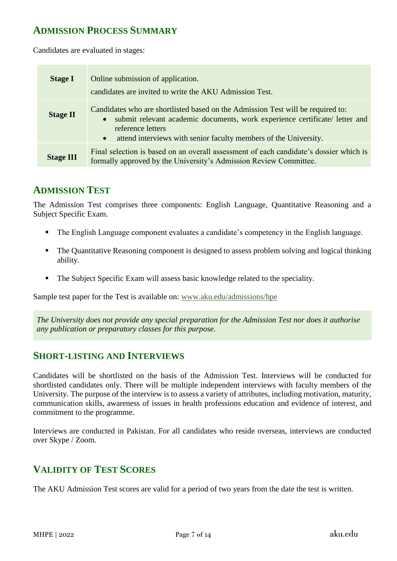### **ADMISSION PROCESS SUMMARY**

Candidates are evaluated in stages:

| <b>Stage I</b>   | Online submission of application.<br>candidates are invited to write the AKU Admission Test.                                                                                                                                                                           |
|------------------|------------------------------------------------------------------------------------------------------------------------------------------------------------------------------------------------------------------------------------------------------------------------|
| <b>Stage II</b>  | Candidates who are shortlisted based on the Admission Test will be required to:<br>• submit relevant academic documents, work experience certificate/ letter and<br>reference letters<br>attend interviews with senior faculty members of the University.<br>$\bullet$ |
| <b>Stage III</b> | Final selection is based on an overall assessment of each candidate's dossier which is<br>formally approved by the University's Admission Review Committee.                                                                                                            |

### **ADMISSION TEST**

The Admission Test comprises three components: English Language, Quantitative Reasoning and a Subject Specific Exam.

- The English Language component evaluates a candidate's competency in the English language.
- The Quantitative Reasoning component is designed to assess problem solving and logical thinking ability.
- The Subject Specific Exam will assess basic knowledge related to the speciality.

Sample test paper for the Test is available on: [www.aku.edu/admissions/hpe](http://www.aku.edu/admissions/hpe)

*The University does not provide any special preparation for the Admission Test nor does it authorise any publication or preparatory classes for this purpose.*

### **SHORT-LISTING AND INTERVIEWS**

Candidates will be shortlisted on the basis of the Admission Test. Interviews will be conducted for shortlisted candidates only. There will be multiple independent interviews with faculty members of the University. The purpose of the interview is to assess a variety of attributes, including motivation, maturity, communication skills, awareness of issues in health professions education and evidence of interest, and commitment to the programme.

Interviews are conducted in Pakistan. For all candidates who reside overseas, interviews are conducted over Skype / Zoom.

# **VALIDITY OF TEST SCORES**

The AKU Admission Test scores are valid for a period of two years from the date the test is written.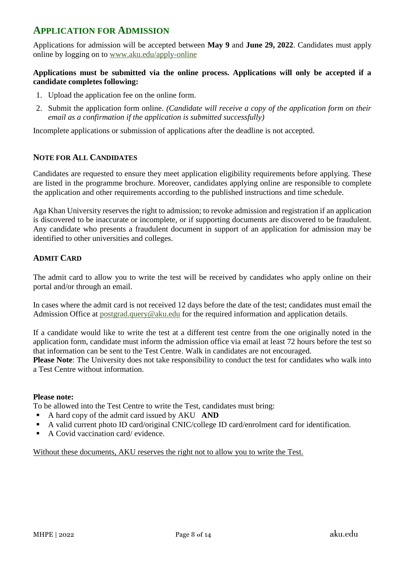### **APPLICATION FOR ADMISSION**

Applications for admission will be accepted between **May 9** and **June 29, 2022**. Candidates must apply online by logging on to [www.aku.edu/apply-online](http://www.aku.edu/apply-online)

### **Applications must be submitted via the online process. Applications will only be accepted if a candidate completes following:**

- 1. Upload the application fee on the online form.
- 2. Submit the application form online. *(Candidate will receive a copy of the application form on their email as a confirmation if the application is submitted successfully)*

Incomplete applications or submission of applications after the deadline is not accepted.

### **NOTE FOR ALL CANDIDATES**

Candidates are requested to ensure they meet application eligibility requirements before applying. These are listed in the programme brochure. Moreover, candidates applying online are responsible to complete the application and other requirements according to the published instructions and time schedule.

Aga Khan University reserves the right to admission; to revoke admission and registration if an application is discovered to be inaccurate or incomplete, or if supporting documents are discovered to be fraudulent. Any candidate who presents a fraudulent document in support of an application for admission may be identified to other universities and colleges.

### **ADMIT CARD**

The admit card to allow you to write the test will be received by candidates who apply online on their portal and/or through an email.

In cases where the admit card is not received 12 days before the date of the test; candidates must email the Admission Office at [postgrad.query@aku.edu](mailto:postgrad.query@aku.edu) for the required information and application details.

If a candidate would like to write the test at a different test centre from the one originally noted in the application form, candidate must inform the admission office via email at least 72 hours before the test so that information can be sent to the Test Centre. Walk in candidates are not encouraged.

**Please Note:** The University does not take responsibility to conduct the test for candidates who walk into a Test Centre without information.

### **Please note:**

To be allowed into the Test Centre to write the Test, candidates must bring:

- A hard copy of the admit card issued by AKU **AND**
- A valid current photo ID card/original CNIC/college ID card/enrolment card for identification.
- A Covid vaccination card/ evidence.

Without these documents, AKU reserves the right not to allow you to write the Test.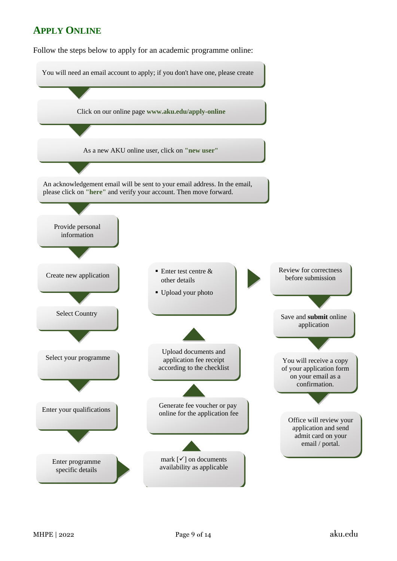### **APPLY ONLINE**

Follow the steps below to apply for an academic programme online: Follow the steps below to apply for an academic programme online:

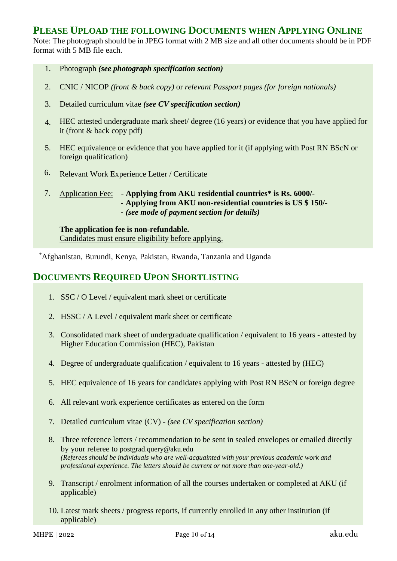### **PLEASE UPLOAD THE FOLLOWING DOCUMENTS WHEN APPLYING ONLINE**

Note: The photograph should be in JPEG format with 2 MB size and all other documents should be in PDF format with 5 MB file each.

- 1. Photograph *(see photograph specification section)*
- 2. CNIC / NICOP *(front & back copy)* or *relevant Passport pages (for foreign nationals)*
- 3. Detailed curriculum vitae *(see CV specification section)*
- 4. HEC attested undergraduate mark sheet/ degree (16 years) or evidence that you have applied for it (front & back copy pdf)
- 5. HEC equivalence or evidence that you have applied for it (if applying with Post RN BScN or foreign qualification)
- 6. Relevant Work Experience Letter / Certificate
- 7. Application Fee: **Applying from AKU residential countries\* is Rs. 6000/-**
	- **- Applying from AKU non-residential countries is US \$ 150/-**
		- **-** *(see mode of payment section for details)*

**The application fee is non-refundable.**  Candidates must ensure eligibility before applying.

\*Afghanistan, Burundi, Kenya, Pakistan, Rwanda, Tanzania and Uganda

### **DOCUMENTS REQUIRED UPON SHORTLISTING**

- 1. SSC / O Level / equivalent mark sheet or certificate
- 2. HSSC / A Level / equivalent mark sheet or certificate
- 3. Consolidated mark sheet of undergraduate qualification / equivalent to 16 years attested by Higher Education Commission (HEC), Pakistan
- 4. Degree of undergraduate qualification / equivalent to 16 years attested by (HEC)
- 5. HEC equivalence of 16 years for candidates applying with Post RN BScN or foreign degree
- 6. All relevant work experience certificates as entered on the form
- 7. Detailed curriculum vitae (CV) *(see CV specification section)*
- 8. Three reference letters / recommendation to be sent in sealed envelopes or emailed directly by your referee to [postgrad.query@aku.edu](mailto:postgrad.query@aku.edu) *(Referees should be individuals who are well-acquainted with your previous academic work and professional experience. The letters should be current or not more than one-year-old.)*
- 9. Transcript / enrolment information of all the courses undertaken or completed at AKU (if applicable)
- 10. Latest mark sheets / progress reports, if currently enrolled in any other institution (if applicable)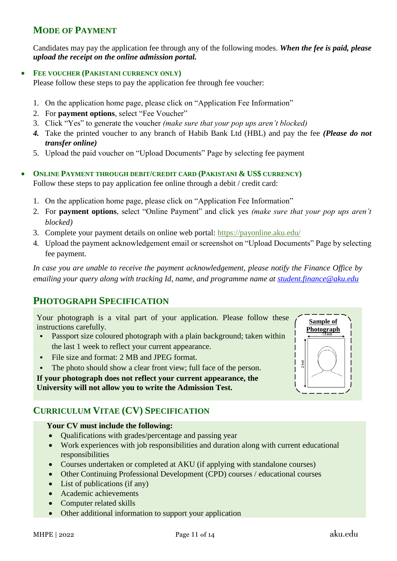## **MODE OF PAYMENT**

Candidates may pay the application fee through any of the following modes. *When the fee is paid, please upload the receipt on the online admission portal.*

### • **FEE VOUCHER (PAKISTANI CURRENCY ONLY)**

Please follow these steps to pay the application fee through fee voucher:

- 1. On the application home page, please click on "Application Fee Information"
- 2. For **payment options**, select "Fee Voucher"
- 3. Click "Yes" to generate the voucher *(make sure that your pop ups aren't blocked)*
- *4.* Take the printed voucher to any branch of Habib Bank Ltd (HBL) and pay the fee *(Please do not transfer online)*
- 5. Upload the paid voucher on "Upload Documents" Page by selecting fee payment
- **ONLINE PAYMENT THROUGH DEBIT/CREDIT CARD (PAKISTANI & US\$ CURRENCY)** Follow these steps to pay application fee online through a debit / credit card:
	- 1. On the application home page, please click on "Application Fee Information"
	- 2. For **payment options**, select "Online Payment" and click yes *(make sure that your pop ups aren't blocked)*
	- 3. Complete your payment details on online web portal:<https://payonline.aku.edu/>
	- 4. Upload the payment acknowledgement email or screenshot on "Upload Documents" Page by selecting fee payment.

*In case you are unable to receive the payment acknowledgement, please notify the Finance Office by emailing your query along with tracking Id, name, and programme name at [student.finance@aku.edu](mailto:student.finance@aku.edu)*

### **PHOTOGRAPH SPECIFICATION**

Your photograph is a vital part of your application. Please follow these instructions carefully.

- **•** Passport size coloured photograph with a plain background; taken within the last 1 week to reflect your current appearance.
- File size and format: 2 MB and JPEG format.
- The photo should show a clear front view; full face of the person.

**If your photograph does not reflect your current appearance, the University will not allow you to write the Admission Test.**

### **CURRICULUM VITAE (CV) SPECIFICATION**

#### **Your CV must include the following:**

- Oualifications with grades/percentage and passing year
- Work experiences with job responsibilities and duration along with current educational responsibilities
- Courses undertaken or completed at AKU (if applying with standalone courses)
- Other Continuing Professional Development (CPD) courses / educational courses
- List of publications (if any)
- Academic achievements
- Computer related skills
- Other additional information to support your application

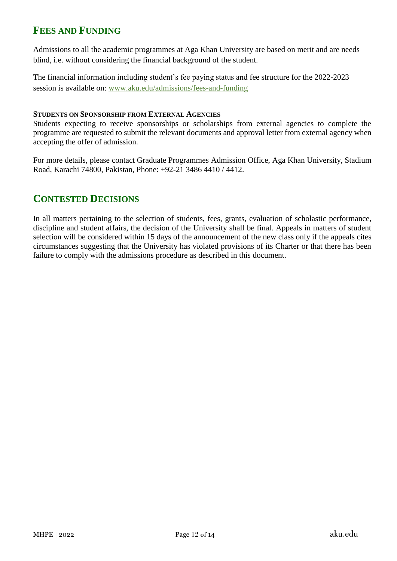# **FEES AND FUNDING**

Admissions to all the academic programmes at Aga Khan University are based on merit and are needs blind, i.e. without considering the financial background of the student.

The financial information including student's fee paying status and fee structure for the 2022-2023 session is available on: [www.aku.edu/admissions/fees-and-funding](http://www.aku.edu/admissions/fees-and-funding)

#### **STUDENTS ON SPONSORSHIP FROM EXTERNAL AGENCIES**

Students expecting to receive sponsorships or scholarships from external agencies to complete the programme are requested to submit the relevant documents and approval letter from external agency when accepting the offer of admission.

For more details, please contact Graduate Programmes Admission Office, Aga Khan University, Stadium Road, Karachi 74800, Pakistan, Phone: +92-21 3486 4410 / 4412.

### **CONTESTED DECISIONS**

In all matters pertaining to the selection of students, fees, grants, evaluation of scholastic performance, discipline and student affairs, the decision of the University shall be final. Appeals in matters of student selection will be considered within 15 days of the announcement of the new class only if the appeals cites circumstances suggesting that the University has violated provisions of its Charter or that there has been failure to comply with the admissions procedure as described in this document.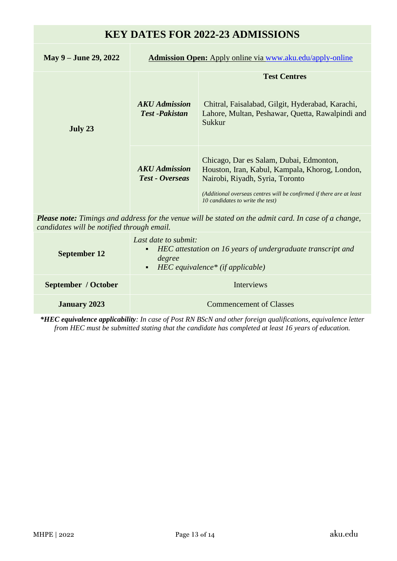# **KEY DATES FOR 2022-23 ADMISSIONS**

| May 9 – June 29, 2022 | <b>Admission Open:</b> Apply online via www.aku.edu/apply-online |                                                                                                                                                                                                                                          |  |
|-----------------------|------------------------------------------------------------------|------------------------------------------------------------------------------------------------------------------------------------------------------------------------------------------------------------------------------------------|--|
| July 23               | AKU Admission<br><b>Test-Pakistan</b>                            | <b>Test Centres</b><br>Chitral, Faisalabad, Gilgit, Hyderabad, Karachi,<br>Lahore, Multan, Peshawar, Quetta, Rawalpindi and<br>Sukkur                                                                                                    |  |
|                       | <b>AKU</b> Admission<br><b>Test - Overseas</b>                   | Chicago, Dar es Salam, Dubai, Edmonton,<br>Houston, Iran, Kabul, Kampala, Khorog, London,<br>Nairobi, Riyadh, Syria, Toronto<br>(Additional overseas centres will be confirmed if there are at least<br>10 candidates to write the test) |  |

*Please note: Timings and address for the venue will be stated on the admit card. In case of a change, candidates will be notified through email.* 

| <b>September 12</b> | Last date to submit:<br>• HEC attestation on 16 years of undergraduate transcript and<br>degree<br>$\blacksquare$ HEC equivalence* (if applicable) |  |  |  |
|---------------------|----------------------------------------------------------------------------------------------------------------------------------------------------|--|--|--|
| September / October | <b>Interviews</b>                                                                                                                                  |  |  |  |
| <b>January 2023</b> | <b>Commencement of Classes</b>                                                                                                                     |  |  |  |

*\*HEC equivalence applicability: In case of Post RN BScN and other foreign qualifications, equivalence letter from HEC must be submitted stating that the candidate has completed at least 16 years of education.*